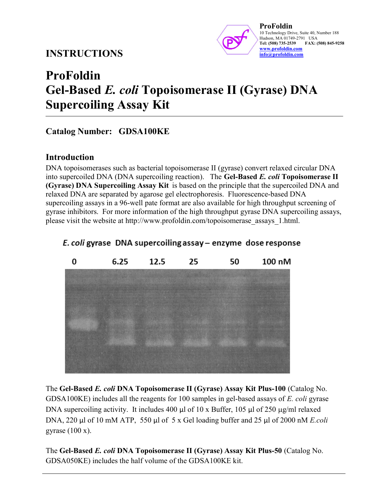# INSTRUCTIONS



ProFoldin 10 Technology Drive, Suite 40, Number 188 Hudson, MA 01749-2791 USA<br>Tel: (508) 735-2539 FAX: ( FAX: (508) 845-9258 www.profoldin.com info@profoldin.com

# ProFoldin Gel-Based E. coli Topoisomerase II (Gyrase) DNA Supercoiling Assay Kit

### Catalog Number: GDSA100KE

### Introduction

DNA topoisomerases such as bacterial topoisomerase II (gyrase) convert relaxed circular DNA into supercoiled DNA (DNA supercoiling reaction). The Gel-Based E. coli Topoisomerase II (Gyrase) DNA Supercoiling Assay Kit is based on the principle that the supercoiled DNA and relaxed DNA are separated by agarose gel electrophoresis. Fluorescence-based DNA supercoiling assays in a 96-well pate format are also available for high throughput screening of gyrase inhibitors. For more information of the high throughput gyrase DNA supercoiling assays, please visit the website at http://www.profoldin.com/topoisomerase\_assays\_1.html.



### E. coli gyrase DNA supercoiling assay – enzyme dose response

The Gel-Based E. coli DNA Topoisomerase II (Gyrase) Assay Kit Plus-100 (Catalog No. GDSA100KE) includes all the reagents for 100 samples in gel-based assays of E. coli gyrase DNA supercoiling activity. It includes 400  $\mu$ l of 10 x Buffer, 105  $\mu$ l of 250  $\mu$ g/ml relaxed DNA, 220 µl of 10 mM ATP, 550 µl of 5 x Gel loading buffer and 25 µl of 2000 nM E.coli gyrase  $(100 x)$ .

The Gel-Based E. coli DNA Topoisomerase II (Gyrase) Assay Kit Plus-50 (Catalog No. GDSA050KE) includes the half volume of the GDSA100KE kit.